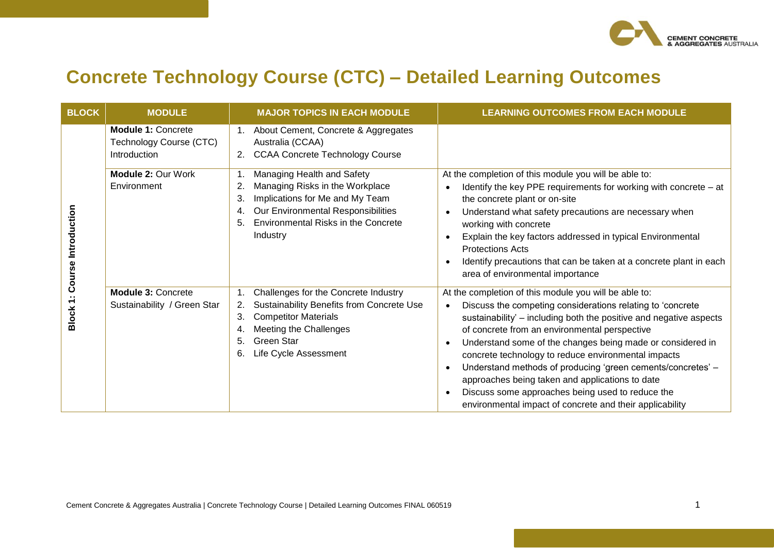

## **Concrete Technology Course (CTC) – Detailed Learning Outcomes**

| <b>BLOCK</b>        | <b>MODULE</b>                                                        | <b>MAJOR TOPICS IN EACH MODULE</b>                                                                                                                                                                                      | <b>LEARNING OUTCOMES FROM EACH MODULE</b>                                                                                                                                                                                                                                                                                                                                                                                                                                                                                                                                                         |
|---------------------|----------------------------------------------------------------------|-------------------------------------------------------------------------------------------------------------------------------------------------------------------------------------------------------------------------|---------------------------------------------------------------------------------------------------------------------------------------------------------------------------------------------------------------------------------------------------------------------------------------------------------------------------------------------------------------------------------------------------------------------------------------------------------------------------------------------------------------------------------------------------------------------------------------------------|
|                     | <b>Module 1: Concrete</b><br>Technology Course (CTC)<br>Introduction | About Cement, Concrete & Aggregates<br>Australia (CCAA)<br><b>CCAA Concrete Technology Course</b><br>2.                                                                                                                 |                                                                                                                                                                                                                                                                                                                                                                                                                                                                                                                                                                                                   |
| Course Introduction | Module 2: Our Work<br>Environment                                    | Managing Health and Safety<br>1.<br>Managing Risks in the Workplace<br>2.<br>Implications for Me and My Team<br>3.<br>Our Environmental Responsibilities<br>4.<br>Environmental Risks in the Concrete<br>5.<br>Industry | At the completion of this module you will be able to:<br>Identify the key PPE requirements for working with concrete – at<br>the concrete plant or on-site<br>Understand what safety precautions are necessary when<br>working with concrete<br>Explain the key factors addressed in typical Environmental<br><b>Protections Acts</b><br>Identify precautions that can be taken at a concrete plant in each<br>area of environmental importance                                                                                                                                                   |
| ᠇<br><b>Block</b>   | <b>Module 3: Concrete</b><br>Sustainability / Green Star             | Challenges for the Concrete Industry<br>Sustainability Benefits from Concrete Use<br>2.<br><b>Competitor Materials</b><br>3.<br>Meeting the Challenges<br>4.<br><b>Green Star</b><br>5.<br>Life Cycle Assessment<br>6.  | At the completion of this module you will be able to:<br>Discuss the competing considerations relating to 'concrete<br>sustainability' - including both the positive and negative aspects<br>of concrete from an environmental perspective<br>Understand some of the changes being made or considered in<br>concrete technology to reduce environmental impacts<br>Understand methods of producing 'green cements/concretes' -<br>approaches being taken and applications to date<br>Discuss some approaches being used to reduce the<br>environmental impact of concrete and their applicability |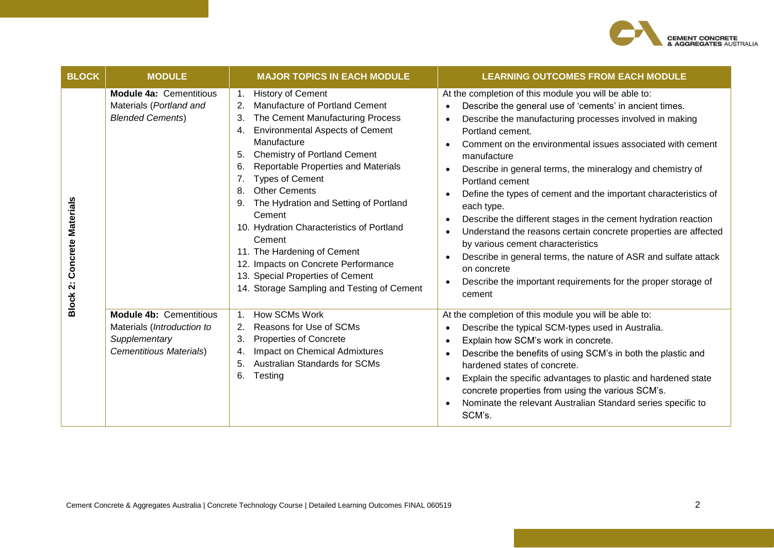

| <b>BLOCK</b>                                              | <b>MODULE</b>                                                                                                   | <b>MAJOR TOPICS IN EACH MODULE</b>                                                                                                                                                                                                                                                                                                                                                                                                                                                                                                                                                                                          | <b>LEARNING OUTCOMES FROM EACH MODULE</b>                                                                                                                                                                                                                                                                                                                                                                                                                                                                                                                                                                                                                                                                                                                                                                                                                           |
|-----------------------------------------------------------|-----------------------------------------------------------------------------------------------------------------|-----------------------------------------------------------------------------------------------------------------------------------------------------------------------------------------------------------------------------------------------------------------------------------------------------------------------------------------------------------------------------------------------------------------------------------------------------------------------------------------------------------------------------------------------------------------------------------------------------------------------------|---------------------------------------------------------------------------------------------------------------------------------------------------------------------------------------------------------------------------------------------------------------------------------------------------------------------------------------------------------------------------------------------------------------------------------------------------------------------------------------------------------------------------------------------------------------------------------------------------------------------------------------------------------------------------------------------------------------------------------------------------------------------------------------------------------------------------------------------------------------------|
| Concrete Materials<br>$\ddot{\mathbf{v}}$<br><b>Block</b> | <b>Module 4a: Cementitious</b><br>Materials (Portland and<br><b>Blended Cements)</b>                            | <b>History of Cement</b><br>$\mathbf{1}$ .<br>Manufacture of Portland Cement<br>2.<br>The Cement Manufacturing Process<br>3.<br><b>Environmental Aspects of Cement</b><br>4.<br>Manufacture<br><b>Chemistry of Portland Cement</b><br>5.<br>Reportable Properties and Materials<br>6.<br><b>Types of Cement</b><br>7.<br><b>Other Cements</b><br>8.<br>The Hydration and Setting of Portland<br>9.<br>Cement<br>10. Hydration Characteristics of Portland<br>Cement<br>11. The Hardening of Cement<br>12. Impacts on Concrete Performance<br>13. Special Properties of Cement<br>14. Storage Sampling and Testing of Cement | At the completion of this module you will be able to:<br>Describe the general use of 'cements' in ancient times.<br>$\bullet$<br>Describe the manufacturing processes involved in making<br>Portland cement.<br>Comment on the environmental issues associated with cement<br>manufacture<br>Describe in general terms, the mineralogy and chemistry of<br>$\bullet$<br>Portland cement<br>Define the types of cement and the important characteristics of<br>each type.<br>Describe the different stages in the cement hydration reaction<br>$\bullet$<br>Understand the reasons certain concrete properties are affected<br>$\bullet$<br>by various cement characteristics<br>Describe in general terms, the nature of ASR and sulfate attack<br>$\bullet$<br>on concrete<br>Describe the important requirements for the proper storage of<br>$\bullet$<br>cement |
|                                                           | <b>Module 4b: Cementitious</b><br>Materials (Introduction to<br>Supplementary<br><b>Cementitious Materials)</b> | How SCMs Work<br>1 <sub>1</sub><br>Reasons for Use of SCMs<br>2.<br><b>Properties of Concrete</b><br>3.<br>Impact on Chemical Admixtures<br>4.<br><b>Australian Standards for SCMs</b><br>5.<br>6.<br>Testing                                                                                                                                                                                                                                                                                                                                                                                                               | At the completion of this module you will be able to:<br>Describe the typical SCM-types used in Australia.<br>$\bullet$<br>Explain how SCM's work in concrete.<br>$\bullet$<br>Describe the benefits of using SCM's in both the plastic and<br>$\bullet$<br>hardened states of concrete.<br>Explain the specific advantages to plastic and hardened state<br>concrete properties from using the various SCM's.<br>Nominate the relevant Australian Standard series specific to<br>SCM's.                                                                                                                                                                                                                                                                                                                                                                            |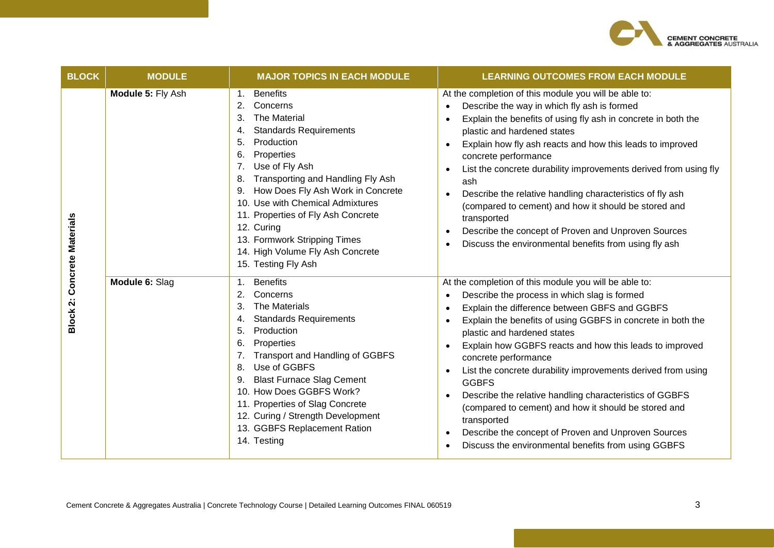

| <b>BLOCK</b>                        | <b>MODULE</b>     | <b>MAJOR TOPICS IN EACH MODULE</b>                                                                                                                                                                                                                                                                                                                                                                                                                                    | <b>LEARNING OUTCOMES FROM EACH MODULE</b>                                                                                                                                                                                                                                                                                                                                                                                                                                                                                                                                                                                                                                            |
|-------------------------------------|-------------------|-----------------------------------------------------------------------------------------------------------------------------------------------------------------------------------------------------------------------------------------------------------------------------------------------------------------------------------------------------------------------------------------------------------------------------------------------------------------------|--------------------------------------------------------------------------------------------------------------------------------------------------------------------------------------------------------------------------------------------------------------------------------------------------------------------------------------------------------------------------------------------------------------------------------------------------------------------------------------------------------------------------------------------------------------------------------------------------------------------------------------------------------------------------------------|
| <b>Concrete Materials</b>           | Module 5: Fly Ash | <b>Benefits</b><br>1 <sub>1</sub><br>Concerns<br>2.<br>The Material<br>3.<br><b>Standards Requirements</b><br>4.<br>Production<br>5.<br>Properties<br>6.<br>Use of Fly Ash<br>7 <sub>1</sub><br>Transporting and Handling Fly Ash<br>8.<br>How Does Fly Ash Work in Concrete<br>9.<br>10. Use with Chemical Admixtures<br>11. Properties of Fly Ash Concrete<br>12. Curing<br>13. Formwork Stripping Times<br>14. High Volume Fly Ash Concrete<br>15. Testing Fly Ash | At the completion of this module you will be able to:<br>Describe the way in which fly ash is formed<br>$\bullet$<br>Explain the benefits of using fly ash in concrete in both the<br>plastic and hardened states<br>Explain how fly ash reacts and how this leads to improved<br>concrete performance<br>List the concrete durability improvements derived from using fly<br>ash<br>Describe the relative handling characteristics of fly ash<br>$\bullet$<br>(compared to cement) and how it should be stored and<br>transported<br>Describe the concept of Proven and Unproven Sources<br>$\bullet$<br>Discuss the environmental benefits from using fly ash                      |
| $\ddot{\mathbf{v}}$<br><b>Block</b> | Module 6: Slag    | <b>Benefits</b><br>1 <sub>1</sub><br>Concerns<br>2.<br>The Materials<br>3.<br><b>Standards Requirements</b><br>4.<br>5.<br>Production<br>Properties<br>6.<br><b>Transport and Handling of GGBFS</b><br>7.<br>Use of GGBFS<br>8.<br><b>Blast Furnace Slag Cement</b><br>9.<br>10. How Does GGBFS Work?<br>11. Properties of Slag Concrete<br>12. Curing / Strength Development<br>13. GGBFS Replacement Ration<br>14. Testing                                          | At the completion of this module you will be able to:<br>Describe the process in which slag is formed<br>Explain the difference between GBFS and GGBFS<br>Explain the benefits of using GGBFS in concrete in both the<br>plastic and hardened states<br>Explain how GGBFS reacts and how this leads to improved<br>concrete performance<br>List the concrete durability improvements derived from using<br><b>GGBFS</b><br>Describe the relative handling characteristics of GGBFS<br>(compared to cement) and how it should be stored and<br>transported<br>Describe the concept of Proven and Unproven Sources<br>$\bullet$<br>Discuss the environmental benefits from using GGBFS |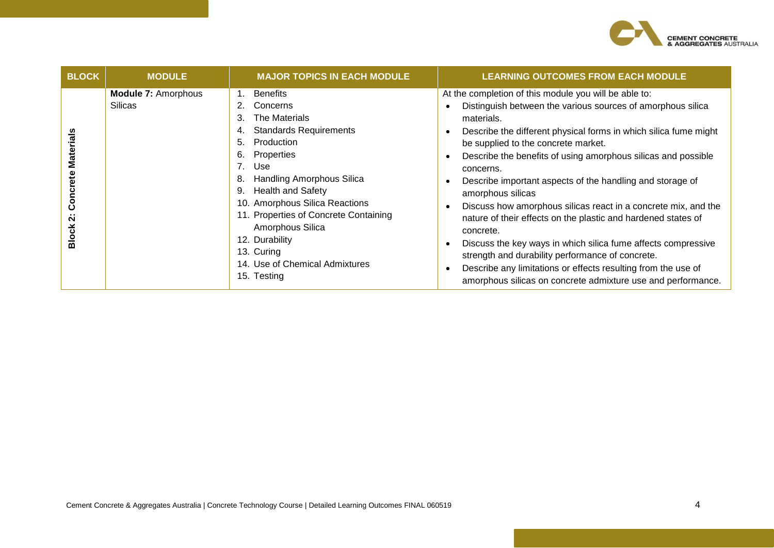

| <b>BLOCK</b>                                                        | <b>MODULE</b>                                | <b>MAJOR TOPICS IN EACH MODULE</b>                                                                                                                                                                                                                                                                                                                                                                         | <b>LEARNING OUTCOMES FROM EACH MODULE</b>                                                                                                                                                                                                                                                                                                                                                                                                                                                                                                                                                                                                                                                                                                                                                                                                                       |
|---------------------------------------------------------------------|----------------------------------------------|------------------------------------------------------------------------------------------------------------------------------------------------------------------------------------------------------------------------------------------------------------------------------------------------------------------------------------------------------------------------------------------------------------|-----------------------------------------------------------------------------------------------------------------------------------------------------------------------------------------------------------------------------------------------------------------------------------------------------------------------------------------------------------------------------------------------------------------------------------------------------------------------------------------------------------------------------------------------------------------------------------------------------------------------------------------------------------------------------------------------------------------------------------------------------------------------------------------------------------------------------------------------------------------|
| <b>Materials</b><br>Concrete<br>$\ddot{\mathbf{v}}$<br><b>Block</b> | <b>Module 7: Amorphous</b><br><b>Silicas</b> | <b>Benefits</b><br>1.<br>Concerns<br>The Materials<br>3.<br><b>Standards Requirements</b><br>Production<br>5.<br>Properties<br>6.<br>7.<br>Use<br><b>Handling Amorphous Silica</b><br>8.<br><b>Health and Safety</b><br>9.<br>10. Amorphous Silica Reactions<br>11. Properties of Concrete Containing<br>Amorphous Silica<br>12. Durability<br>13. Curing<br>14. Use of Chemical Admixtures<br>15. Testing | At the completion of this module you will be able to:<br>Distinguish between the various sources of amorphous silica<br>$\bullet$<br>materials.<br>Describe the different physical forms in which silica fume might<br>be supplied to the concrete market.<br>Describe the benefits of using amorphous silicas and possible<br>٠<br>concerns.<br>Describe important aspects of the handling and storage of<br>$\bullet$<br>amorphous silicas<br>Discuss how amorphous silicas react in a concrete mix, and the<br>$\bullet$<br>nature of their effects on the plastic and hardened states of<br>concrete.<br>Discuss the key ways in which silica fume affects compressive<br>strength and durability performance of concrete.<br>Describe any limitations or effects resulting from the use of<br>amorphous silicas on concrete admixture use and performance. |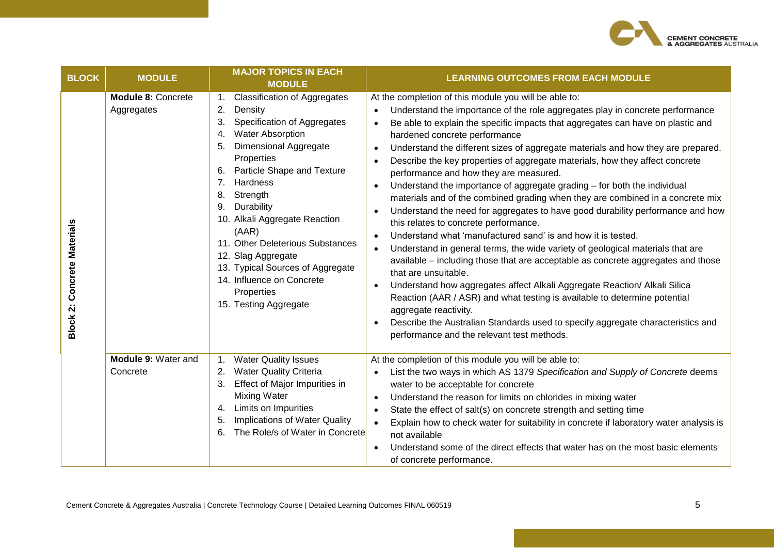

| <b>BLOCK</b>                       | <b>MODULE</b>                           | <b>MAJOR TOPICS IN EACH</b><br><b>MODULE</b>                                                                                                                                                                                                                                                                                                                                                                                                                                                  | <b>LEARNING OUTCOMES FROM EACH MODULE</b>                                                                                                                                                                                                                                                                                                                                                                                                                                                                                                                                                                                                                                                                                                                                                                                                                                                                                                                                                                                                                                                                                                                                                                                                                                                                                                                                                               |
|------------------------------------|-----------------------------------------|-----------------------------------------------------------------------------------------------------------------------------------------------------------------------------------------------------------------------------------------------------------------------------------------------------------------------------------------------------------------------------------------------------------------------------------------------------------------------------------------------|---------------------------------------------------------------------------------------------------------------------------------------------------------------------------------------------------------------------------------------------------------------------------------------------------------------------------------------------------------------------------------------------------------------------------------------------------------------------------------------------------------------------------------------------------------------------------------------------------------------------------------------------------------------------------------------------------------------------------------------------------------------------------------------------------------------------------------------------------------------------------------------------------------------------------------------------------------------------------------------------------------------------------------------------------------------------------------------------------------------------------------------------------------------------------------------------------------------------------------------------------------------------------------------------------------------------------------------------------------------------------------------------------------|
| <b>Block 2: Concrete Materials</b> | <b>Module 8: Concrete</b><br>Aggregates | <b>Classification of Aggregates</b><br>2.<br>Density<br>Specification of Aggregates<br>3.<br><b>Water Absorption</b><br>4.<br><b>Dimensional Aggregate</b><br>5.<br>Properties<br><b>Particle Shape and Texture</b><br>6.<br>7.<br>Hardness<br>Strength<br>8.<br>Durability<br>9.<br>10. Alkali Aggregate Reaction<br>(AAR)<br>11. Other Deleterious Substances<br>12. Slag Aggregate<br>13. Typical Sources of Aggregate<br>14. Influence on Concrete<br>Properties<br>15. Testing Aggregate | At the completion of this module you will be able to:<br>Understand the importance of the role aggregates play in concrete performance<br>Be able to explain the specific impacts that aggregates can have on plastic and<br>$\bullet$<br>hardened concrete performance<br>Understand the different sizes of aggregate materials and how they are prepared.<br>$\bullet$<br>Describe the key properties of aggregate materials, how they affect concrete<br>performance and how they are measured.<br>Understand the importance of aggregate grading - for both the individual<br>$\bullet$<br>materials and of the combined grading when they are combined in a concrete mix<br>Understand the need for aggregates to have good durability performance and how<br>this relates to concrete performance.<br>Understand what 'manufactured sand' is and how it is tested.<br>$\bullet$<br>Understand in general terms, the wide variety of geological materials that are<br>available – including those that are acceptable as concrete aggregates and those<br>that are unsuitable.<br>Understand how aggregates affect Alkali Aggregate Reaction/ Alkali Silica<br>Reaction (AAR / ASR) and what testing is available to determine potential<br>aggregate reactivity.<br>Describe the Australian Standards used to specify aggregate characteristics and<br>performance and the relevant test methods. |
|                                    | Module 9: Water and<br>Concrete         | <b>Water Quality Issues</b><br><b>Water Quality Criteria</b><br>2.<br>Effect of Major Impurities in<br>3.<br><b>Mixing Water</b><br>Limits on Impurities<br>4.<br><b>Implications of Water Quality</b><br>5.<br>The Role/s of Water in Concrete<br>6.                                                                                                                                                                                                                                         | At the completion of this module you will be able to:<br>List the two ways in which AS 1379 Specification and Supply of Concrete deems<br>water to be acceptable for concrete<br>Understand the reason for limits on chlorides in mixing water<br>$\bullet$<br>State the effect of salt(s) on concrete strength and setting time<br>$\bullet$<br>Explain how to check water for suitability in concrete if laboratory water analysis is<br>$\bullet$<br>not available<br>Understand some of the direct effects that water has on the most basic elements<br>of concrete performance.                                                                                                                                                                                                                                                                                                                                                                                                                                                                                                                                                                                                                                                                                                                                                                                                                    |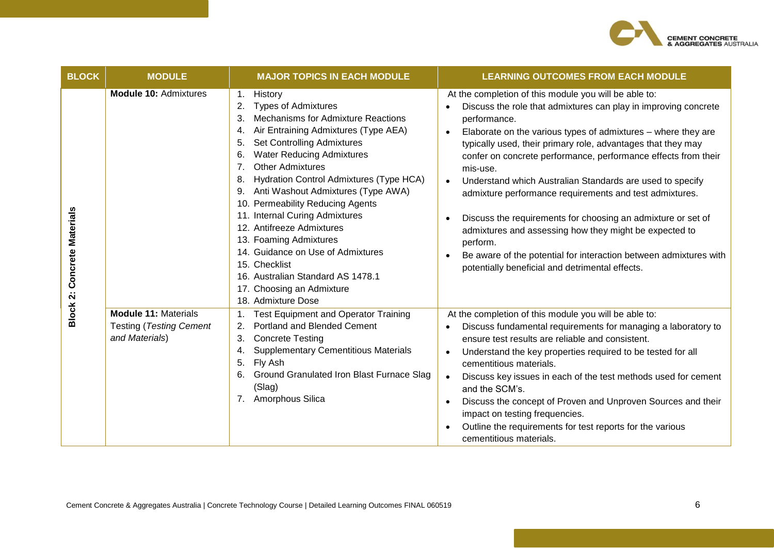

| <b>BLOCK</b>       | <b>MODULE</b>                                                                   | <b>MAJOR TOPICS IN EACH MODULE</b>                                                                                                                                                                                                                                                                                                                                                                                                                                                                                                                                                                                                          | <b>LEARNING OUTCOMES FROM EACH MODULE</b>                                                                                                                                                                                                                                                                                                                                                                                                                                                                                                                                                                                                                                                                                                     |
|--------------------|---------------------------------------------------------------------------------|---------------------------------------------------------------------------------------------------------------------------------------------------------------------------------------------------------------------------------------------------------------------------------------------------------------------------------------------------------------------------------------------------------------------------------------------------------------------------------------------------------------------------------------------------------------------------------------------------------------------------------------------|-----------------------------------------------------------------------------------------------------------------------------------------------------------------------------------------------------------------------------------------------------------------------------------------------------------------------------------------------------------------------------------------------------------------------------------------------------------------------------------------------------------------------------------------------------------------------------------------------------------------------------------------------------------------------------------------------------------------------------------------------|
| Concrete Materials | Module 10: Admixtures                                                           | History<br>1.<br><b>Types of Admixtures</b><br>2.<br>Mechanisms for Admixture Reactions<br>3.<br>Air Entraining Admixtures (Type AEA)<br>4.<br>Set Controlling Admixtures<br>5.<br><b>Water Reducing Admixtures</b><br>6.<br><b>Other Admixtures</b><br>7 <sub>1</sub><br>Hydration Control Admixtures (Type HCA)<br>8.<br>9. Anti Washout Admixtures (Type AWA)<br>10. Permeability Reducing Agents<br>11. Internal Curing Admixtures<br>12. Antifreeze Admixtures<br>13. Foaming Admixtures<br>14. Guidance on Use of Admixtures<br>15. Checklist<br>16. Australian Standard AS 1478.1<br>17. Choosing an Admixture<br>18. Admixture Dose | At the completion of this module you will be able to:<br>Discuss the role that admixtures can play in improving concrete<br>performance.<br>Elaborate on the various types of admixtures - where they are<br>typically used, their primary role, advantages that they may<br>confer on concrete performance, performance effects from their<br>mis-use.<br>Understand which Australian Standards are used to specify<br>admixture performance requirements and test admixtures.<br>Discuss the requirements for choosing an admixture or set of<br>admixtures and assessing how they might be expected to<br>perform.<br>Be aware of the potential for interaction between admixtures with<br>potentially beneficial and detrimental effects. |
| Block 2:           | <b>Module 11: Materials</b><br><b>Testing (Testing Cement</b><br>and Materials) | <b>Test Equipment and Operator Training</b><br><b>Portland and Blended Cement</b><br>2.<br><b>Concrete Testing</b><br>3.<br><b>Supplementary Cementitious Materials</b><br>4.<br>Fly Ash<br>5.<br>Ground Granulated Iron Blast Furnace Slag<br>6.<br>(Slag)<br>7. Amorphous Silica                                                                                                                                                                                                                                                                                                                                                          | At the completion of this module you will be able to:<br>Discuss fundamental requirements for managing a laboratory to<br>ensure test results are reliable and consistent.<br>Understand the key properties required to be tested for all<br>cementitious materials.<br>Discuss key issues in each of the test methods used for cement<br>and the SCM's.<br>Discuss the concept of Proven and Unproven Sources and their<br>impact on testing frequencies.<br>Outline the requirements for test reports for the various<br>cementitious materials.                                                                                                                                                                                            |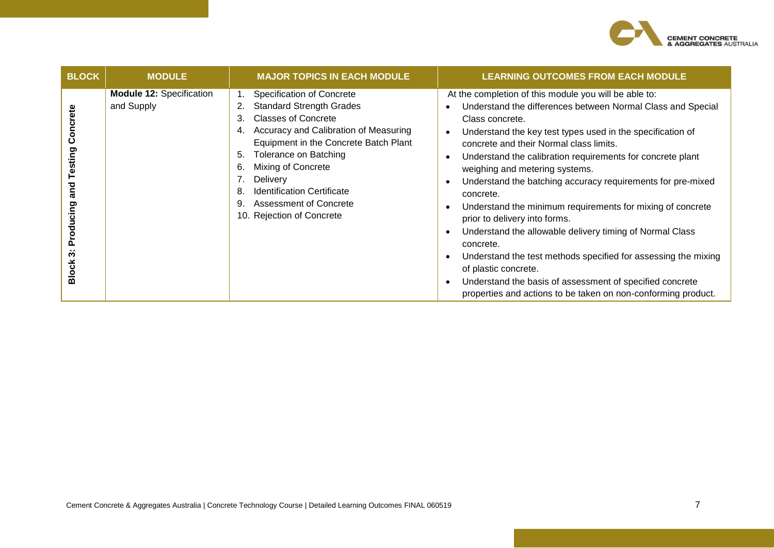

| <b>BLOCK</b>                                              | <b>MODULE</b>                                 | <b>MAJOR TOPICS IN EACH MODULE</b>                                                                                                                                                                                                                                                                                                                                                          | <b>LEARNING OUTCOMES FROM EACH MODULE</b>                                                                                                                                                                                                                                                                                                                                                                                                                                                                                                                                                                                                                                                                                                                                                                                   |
|-----------------------------------------------------------|-----------------------------------------------|---------------------------------------------------------------------------------------------------------------------------------------------------------------------------------------------------------------------------------------------------------------------------------------------------------------------------------------------------------------------------------------------|-----------------------------------------------------------------------------------------------------------------------------------------------------------------------------------------------------------------------------------------------------------------------------------------------------------------------------------------------------------------------------------------------------------------------------------------------------------------------------------------------------------------------------------------------------------------------------------------------------------------------------------------------------------------------------------------------------------------------------------------------------------------------------------------------------------------------------|
| Concrete<br>Testing<br>Producing and<br>ო<br><b>Block</b> | <b>Module 12: Specification</b><br>and Supply | <b>Specification of Concrete</b><br><b>Standard Strength Grades</b><br>2.<br><b>Classes of Concrete</b><br>3.<br>Accuracy and Calibration of Measuring<br>4.<br>Equipment in the Concrete Batch Plant<br>Tolerance on Batching<br>5.<br>Mixing of Concrete<br>6.<br><b>Delivery</b><br><b>Identification Certificate</b><br>8.<br>Assessment of Concrete<br>9.<br>10. Rejection of Concrete | At the completion of this module you will be able to:<br>Understand the differences between Normal Class and Special<br>Class concrete.<br>Understand the key test types used in the specification of<br>concrete and their Normal class limits.<br>Understand the calibration requirements for concrete plant<br>weighing and metering systems.<br>Understand the batching accuracy requirements for pre-mixed<br>concrete.<br>Understand the minimum requirements for mixing of concrete<br>prior to delivery into forms.<br>Understand the allowable delivery timing of Normal Class<br>concrete.<br>Understand the test methods specified for assessing the mixing<br>of plastic concrete.<br>Understand the basis of assessment of specified concrete<br>properties and actions to be taken on non-conforming product. |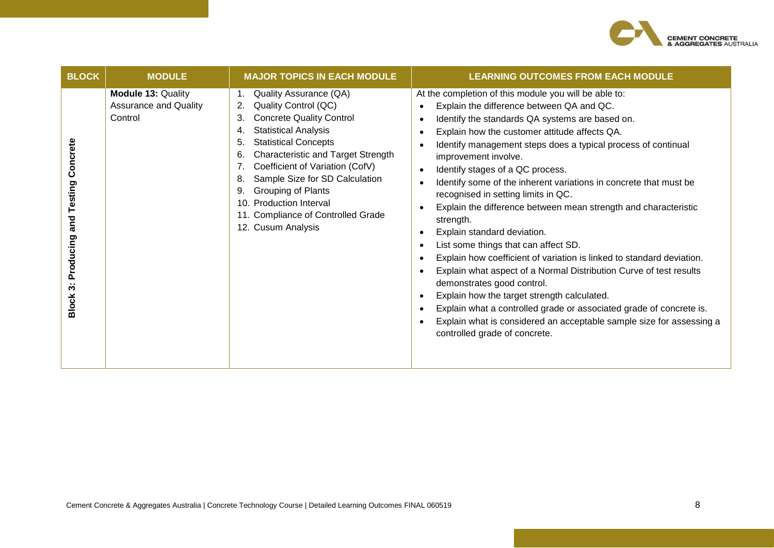

| <b>BLOCK</b>                                                                            | <b>MODULE</b>                                                        | <b>MAJOR TOPICS IN EACH MODULE</b>                                                                                                                                                                                                                                                                                                                                                                                                | <b>LEARNING OUTCOMES FROM EACH MODULE</b>                                                                                                                                                                                                                                                                                                                                                                                                                                                                                                                                                                                                                                                                                                                                                                                                                                                                                                                                                                          |
|-----------------------------------------------------------------------------------------|----------------------------------------------------------------------|-----------------------------------------------------------------------------------------------------------------------------------------------------------------------------------------------------------------------------------------------------------------------------------------------------------------------------------------------------------------------------------------------------------------------------------|--------------------------------------------------------------------------------------------------------------------------------------------------------------------------------------------------------------------------------------------------------------------------------------------------------------------------------------------------------------------------------------------------------------------------------------------------------------------------------------------------------------------------------------------------------------------------------------------------------------------------------------------------------------------------------------------------------------------------------------------------------------------------------------------------------------------------------------------------------------------------------------------------------------------------------------------------------------------------------------------------------------------|
| ncrete<br>ပိ<br>Testing<br>and<br>Producing<br>$\ddot{\bm{\mathrm{o}}}$<br><b>Block</b> | <b>Module 13: Quality</b><br><b>Assurance and Quality</b><br>Control | Quality Assurance (QA)<br>Quality Control (QC)<br>2.<br><b>Concrete Quality Control</b><br>3.<br><b>Statistical Analysis</b><br>4.<br><b>Statistical Concepts</b><br>5.<br>Characteristic and Target Strength<br>6.<br>Coefficient of Variation (CofV)<br>7.<br>Sample Size for SD Calculation<br>8.<br>Grouping of Plants<br>9.<br><b>Production Interval</b><br>10.<br>11. Compliance of Controlled Grade<br>12. Cusum Analysis | At the completion of this module you will be able to:<br>Explain the difference between QA and QC.<br>Identify the standards QA systems are based on.<br>Explain how the customer attitude affects QA.<br>Identify management steps does a typical process of continual<br>improvement involve.<br>Identify stages of a QC process.<br>Identify some of the inherent variations in concrete that must be<br>recognised in setting limits in QC.<br>Explain the difference between mean strength and characteristic<br>strength.<br>Explain standard deviation.<br>List some things that can affect SD.<br>Explain how coefficient of variation is linked to standard deviation.<br>Explain what aspect of a Normal Distribution Curve of test results<br>demonstrates good control.<br>Explain how the target strength calculated.<br>Explain what a controlled grade or associated grade of concrete is.<br>Explain what is considered an acceptable sample size for assessing a<br>controlled grade of concrete. |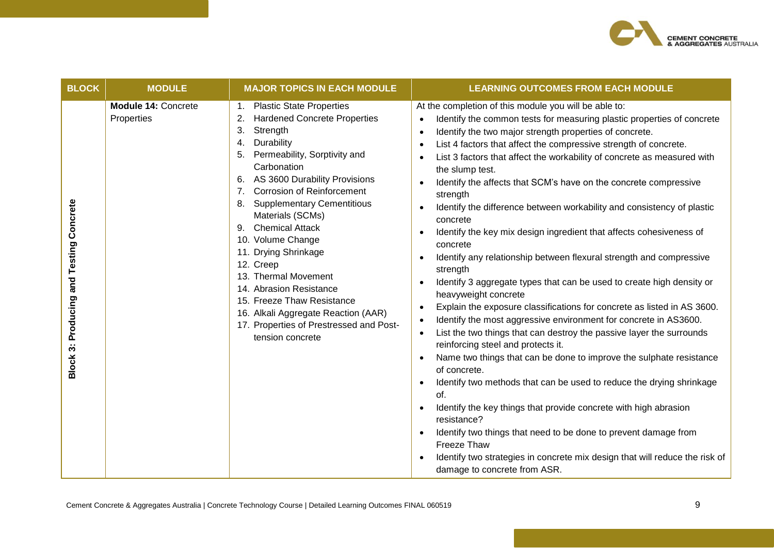

| <b>BLOCK</b>                                   | <b>MODULE</b>                     | <b>MAJOR TOPICS IN EACH MODULE</b>                                                                                                                                                                                                                                                                                                                                                                                                                                                                                                                                             | <b>LEARNING OUTCOMES FROM EACH MODULE</b>                                                                                                                                                                                                                                                                                                                                                                                                                                                                                                                                                                                                                                                                                                                                                                                                                                                                                                                                                                                                                                                                                                                                                                                                                                                                                                                                                                                                                                                                                                                                                                                                |
|------------------------------------------------|-----------------------------------|--------------------------------------------------------------------------------------------------------------------------------------------------------------------------------------------------------------------------------------------------------------------------------------------------------------------------------------------------------------------------------------------------------------------------------------------------------------------------------------------------------------------------------------------------------------------------------|------------------------------------------------------------------------------------------------------------------------------------------------------------------------------------------------------------------------------------------------------------------------------------------------------------------------------------------------------------------------------------------------------------------------------------------------------------------------------------------------------------------------------------------------------------------------------------------------------------------------------------------------------------------------------------------------------------------------------------------------------------------------------------------------------------------------------------------------------------------------------------------------------------------------------------------------------------------------------------------------------------------------------------------------------------------------------------------------------------------------------------------------------------------------------------------------------------------------------------------------------------------------------------------------------------------------------------------------------------------------------------------------------------------------------------------------------------------------------------------------------------------------------------------------------------------------------------------------------------------------------------------|
| <b>Block 3: Producing and Testing Concrete</b> | Module 14: Concrete<br>Properties | 1. Plastic State Properties<br><b>Hardened Concrete Properties</b><br>2.<br>3.<br>Strength<br>Durability<br>4.<br>Permeability, Sorptivity and<br>5.<br>Carbonation<br>6. AS 3600 Durability Provisions<br>7. Corrosion of Reinforcement<br><b>Supplementary Cementitious</b><br>8.<br>Materials (SCMs)<br>9. Chemical Attack<br>10. Volume Change<br>11. Drying Shrinkage<br>12. Creep<br>13. Thermal Movement<br>14. Abrasion Resistance<br>15. Freeze Thaw Resistance<br>16. Alkali Aggregate Reaction (AAR)<br>17. Properties of Prestressed and Post-<br>tension concrete | At the completion of this module you will be able to:<br>Identify the common tests for measuring plastic properties of concrete<br>$\bullet$<br>Identify the two major strength properties of concrete.<br>List 4 factors that affect the compressive strength of concrete.<br>$\bullet$<br>List 3 factors that affect the workability of concrete as measured with<br>the slump test.<br>Identify the affects that SCM's have on the concrete compressive<br>$\bullet$<br>strength<br>Identify the difference between workability and consistency of plastic<br>concrete<br>Identify the key mix design ingredient that affects cohesiveness of<br>concrete<br>Identify any relationship between flexural strength and compressive<br>$\bullet$<br>strength<br>Identify 3 aggregate types that can be used to create high density or<br>heavyweight concrete<br>Explain the exposure classifications for concrete as listed in AS 3600.<br>$\bullet$<br>Identify the most aggressive environment for concrete in AS3600.<br>$\bullet$<br>List the two things that can destroy the passive layer the surrounds<br>$\bullet$<br>reinforcing steel and protects it.<br>Name two things that can be done to improve the sulphate resistance<br>of concrete.<br>Identify two methods that can be used to reduce the drying shrinkage<br>$\bullet$<br>of.<br>Identify the key things that provide concrete with high abrasion<br>resistance?<br>Identify two things that need to be done to prevent damage from<br>Freeze Thaw<br>Identify two strategies in concrete mix design that will reduce the risk of<br>damage to concrete from ASR. |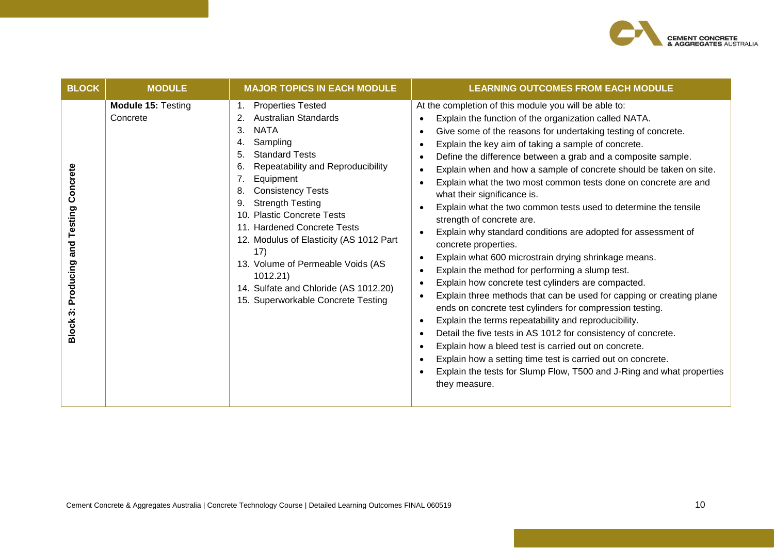

| <b>BLOCK</b>                                                           | <b>MODULE</b>                         | <b>MAJOR TOPICS IN EACH MODULE</b>                                                                                                                                                                                                                                                                                                                                                                                                                                                                      | <b>LEARNING OUTCOMES FROM EACH MODULE</b>                                                                                                                                                                                                                                                                                                                                                                                                                                                                                                                                                                                                                                                                                                                                                                                                                                                                                                                                                                                                                                                                                                                                                                                                                                                                                                                                                                                                                          |
|------------------------------------------------------------------------|---------------------------------------|---------------------------------------------------------------------------------------------------------------------------------------------------------------------------------------------------------------------------------------------------------------------------------------------------------------------------------------------------------------------------------------------------------------------------------------------------------------------------------------------------------|--------------------------------------------------------------------------------------------------------------------------------------------------------------------------------------------------------------------------------------------------------------------------------------------------------------------------------------------------------------------------------------------------------------------------------------------------------------------------------------------------------------------------------------------------------------------------------------------------------------------------------------------------------------------------------------------------------------------------------------------------------------------------------------------------------------------------------------------------------------------------------------------------------------------------------------------------------------------------------------------------------------------------------------------------------------------------------------------------------------------------------------------------------------------------------------------------------------------------------------------------------------------------------------------------------------------------------------------------------------------------------------------------------------------------------------------------------------------|
| Concrete<br>and Testing<br>Producing<br>$\cdot$ .<br>S<br><b>Block</b> | <b>Module 15: Testing</b><br>Concrete | <b>Properties Tested</b><br><b>Australian Standards</b><br>3.<br><b>NATA</b><br>Sampling<br>4.<br><b>Standard Tests</b><br>5.<br>Repeatability and Reproducibility<br>Equipment<br>7.<br><b>Consistency Tests</b><br>8.<br><b>Strength Testing</b><br>9.<br>10. Plastic Concrete Tests<br>11. Hardened Concrete Tests<br>12. Modulus of Elasticity (AS 1012 Part<br>17)<br>13. Volume of Permeable Voids (AS<br>1012.21)<br>14. Sulfate and Chloride (AS 1012.20)<br>15. Superworkable Concrete Testing | At the completion of this module you will be able to:<br>Explain the function of the organization called NATA.<br>Give some of the reasons for undertaking testing of concrete.<br>Explain the key aim of taking a sample of concrete.<br>$\bullet$<br>Define the difference between a grab and a composite sample.<br>Explain when and how a sample of concrete should be taken on site.<br>$\bullet$<br>Explain what the two most common tests done on concrete are and<br>$\bullet$<br>what their significance is.<br>Explain what the two common tests used to determine the tensile<br>$\bullet$<br>strength of concrete are.<br>Explain why standard conditions are adopted for assessment of<br>$\bullet$<br>concrete properties.<br>Explain what 600 microstrain drying shrinkage means.<br>٠<br>Explain the method for performing a slump test.<br>Explain how concrete test cylinders are compacted.<br>٠<br>Explain three methods that can be used for capping or creating plane<br>$\bullet$<br>ends on concrete test cylinders for compression testing.<br>Explain the terms repeatability and reproducibility.<br>$\bullet$<br>Detail the five tests in AS 1012 for consistency of concrete.<br>$\bullet$<br>Explain how a bleed test is carried out on concrete.<br>$\bullet$<br>Explain how a setting time test is carried out on concrete.<br>$\bullet$<br>Explain the tests for Slump Flow, T500 and J-Ring and what properties<br>they measure. |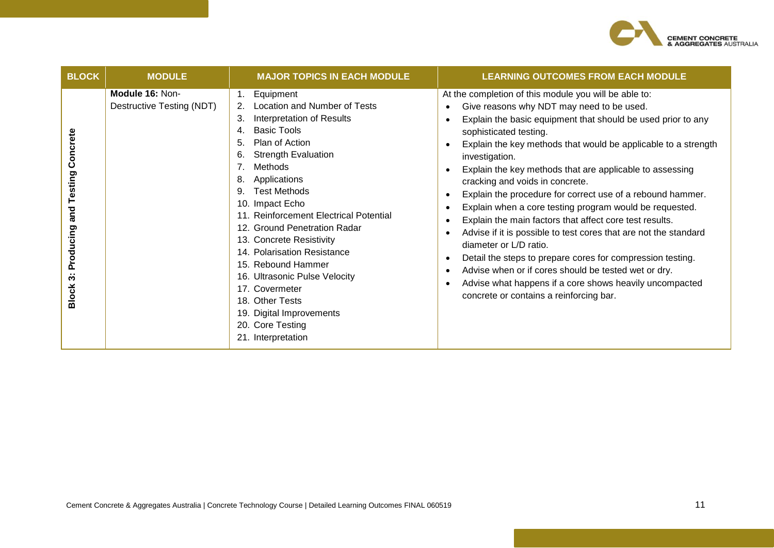

| <b>BLOCK</b>                                                                | <b>MODULE</b>                                | <b>MAJOR TOPICS IN EACH MODULE</b>                                                                                                                                                                                                                                                                                                                                                                                                                                                                                                                                                                  | <b>LEARNING OUTCOMES FROM EACH MODULE</b>                                                                                                                                                                                                                                                                                                                                                                                                                                                                                                                                                                                                                                                                                                                                                                                                                                                                                                                                                                          |
|-----------------------------------------------------------------------------|----------------------------------------------|-----------------------------------------------------------------------------------------------------------------------------------------------------------------------------------------------------------------------------------------------------------------------------------------------------------------------------------------------------------------------------------------------------------------------------------------------------------------------------------------------------------------------------------------------------------------------------------------------------|--------------------------------------------------------------------------------------------------------------------------------------------------------------------------------------------------------------------------------------------------------------------------------------------------------------------------------------------------------------------------------------------------------------------------------------------------------------------------------------------------------------------------------------------------------------------------------------------------------------------------------------------------------------------------------------------------------------------------------------------------------------------------------------------------------------------------------------------------------------------------------------------------------------------------------------------------------------------------------------------------------------------|
| Concrete<br>and Testing<br>Producing<br>$\ddot{\bm{\cdot}}$<br><b>Block</b> | Module 16: Non-<br>Destructive Testing (NDT) | Equipment<br>$1_{\cdot}$<br>Location and Number of Tests<br>2.<br>Interpretation of Results<br>3.<br><b>Basic Tools</b><br>4.<br>Plan of Action<br>5.<br><b>Strength Evaluation</b><br>6.<br>Methods<br>7 <sub>1</sub><br>Applications<br>8.<br><b>Test Methods</b><br>9.<br>10. Impact Echo<br>11. Reinforcement Electrical Potential<br>12. Ground Penetration Radar<br>13. Concrete Resistivity<br>14. Polarisation Resistance<br>15. Rebound Hammer<br>16. Ultrasonic Pulse Velocity<br>17. Covermeter<br>18. Other Tests<br>19. Digital Improvements<br>20. Core Testing<br>21. Interpretation | At the completion of this module you will be able to:<br>Give reasons why NDT may need to be used.<br>$\bullet$<br>Explain the basic equipment that should be used prior to any<br>$\bullet$<br>sophisticated testing.<br>Explain the key methods that would be applicable to a strength<br>$\bullet$<br>investigation.<br>Explain the key methods that are applicable to assessing<br>cracking and voids in concrete.<br>Explain the procedure for correct use of a rebound hammer.<br>$\bullet$<br>Explain when a core testing program would be requested.<br>Explain the main factors that affect core test results.<br>$\bullet$<br>Advise if it is possible to test cores that are not the standard<br>$\bullet$<br>diameter or L/D ratio.<br>Detail the steps to prepare cores for compression testing.<br>$\bullet$<br>Advise when or if cores should be tested wet or dry.<br>$\bullet$<br>Advise what happens if a core shows heavily uncompacted<br>$\bullet$<br>concrete or contains a reinforcing bar. |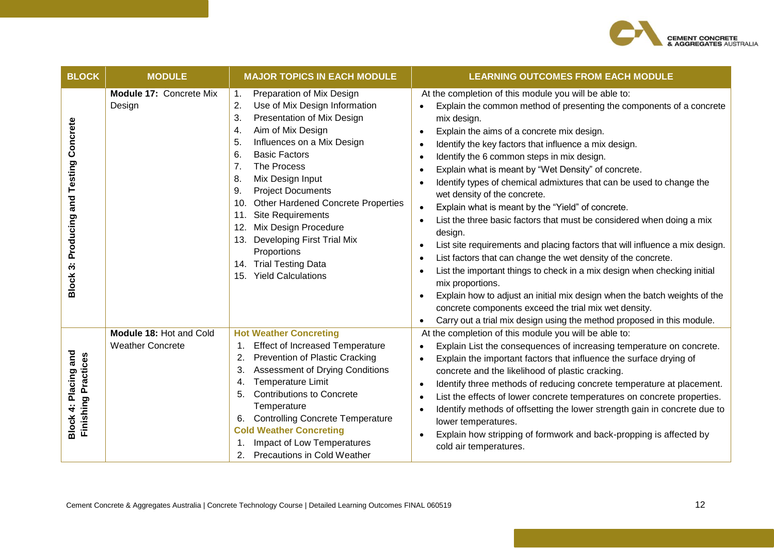

| <b>BLOCK</b>                                                                 | <b>MODULE</b>                                      | <b>MAJOR TOPICS IN EACH MODULE</b>                                                                                                                                                                                                                                                                                                                                                                                                                                                                                       | <b>LEARNING OUTCOMES FROM EACH MODULE</b>                                                                                                                                                                                                                                                                                                                                                                                                                                                                                                                                                                                                                                                                                                                                                                                                                                                                                                                                                                                                                                                                                                                                               |
|------------------------------------------------------------------------------|----------------------------------------------------|--------------------------------------------------------------------------------------------------------------------------------------------------------------------------------------------------------------------------------------------------------------------------------------------------------------------------------------------------------------------------------------------------------------------------------------------------------------------------------------------------------------------------|-----------------------------------------------------------------------------------------------------------------------------------------------------------------------------------------------------------------------------------------------------------------------------------------------------------------------------------------------------------------------------------------------------------------------------------------------------------------------------------------------------------------------------------------------------------------------------------------------------------------------------------------------------------------------------------------------------------------------------------------------------------------------------------------------------------------------------------------------------------------------------------------------------------------------------------------------------------------------------------------------------------------------------------------------------------------------------------------------------------------------------------------------------------------------------------------|
| Concrete<br>and Testing<br>Producing<br>$\ddot{\bm{\sigma}}$<br><b>Block</b> | Module 17: Concrete Mix<br>Design                  | Preparation of Mix Design<br>$\mathbf{1}$ .<br>Use of Mix Design Information<br>2.<br>Presentation of Mix Design<br>3.<br>Aim of Mix Design<br>4.<br>5.<br>Influences on a Mix Design<br>6.<br><b>Basic Factors</b><br>7.<br>The Process<br>8.<br>Mix Design Input<br><b>Project Documents</b><br>9.<br><b>Other Hardened Concrete Properties</b><br>10.<br>Site Requirements<br>11.<br>Mix Design Procedure<br>12.<br>13. Developing First Trial Mix<br>Proportions<br>14. Trial Testing Data<br>15. Yield Calculations | At the completion of this module you will be able to:<br>Explain the common method of presenting the components of a concrete<br>$\bullet$<br>mix design.<br>Explain the aims of a concrete mix design.<br>$\bullet$<br>Identify the key factors that influence a mix design.<br>$\bullet$<br>Identify the 6 common steps in mix design.<br>$\bullet$<br>Explain what is meant by "Wet Density" of concrete.<br>$\bullet$<br>Identify types of chemical admixtures that can be used to change the<br>wet density of the concrete.<br>Explain what is meant by the "Yield" of concrete.<br>$\bullet$<br>List the three basic factors that must be considered when doing a mix<br>design.<br>List site requirements and placing factors that will influence a mix design.<br>$\bullet$<br>List factors that can change the wet density of the concrete.<br>List the important things to check in a mix design when checking initial<br>٠<br>mix proportions.<br>Explain how to adjust an initial mix design when the batch weights of the<br>$\bullet$<br>concrete components exceed the trial mix wet density.<br>Carry out a trial mix design using the method proposed in this module. |
| and<br>Finishing Practices<br>4: Placing<br><b>Block</b>                     | Module 18: Hot and Cold<br><b>Weather Concrete</b> | <b>Hot Weather Concreting</b><br><b>Effect of Increased Temperature</b><br>1.<br><b>Prevention of Plastic Cracking</b><br>2.<br><b>Assessment of Drying Conditions</b><br>3.<br>Temperature Limit<br>4.<br><b>Contributions to Concrete</b><br>5.<br>Temperature<br>6. Controlling Concrete Temperature<br><b>Cold Weather Concreting</b><br>Impact of Low Temperatures<br><b>Precautions in Cold Weather</b><br>2.                                                                                                      | At the completion of this module you will be able to:<br>Explain List the consequences of increasing temperature on concrete.<br>$\bullet$<br>Explain the important factors that influence the surface drying of<br>$\bullet$<br>concrete and the likelihood of plastic cracking.<br>Identify three methods of reducing concrete temperature at placement.<br>$\bullet$<br>List the effects of lower concrete temperatures on concrete properties.<br>$\bullet$<br>Identify methods of offsetting the lower strength gain in concrete due to<br>$\bullet$<br>lower temperatures.<br>Explain how stripping of formwork and back-propping is affected by<br>cold air temperatures.                                                                                                                                                                                                                                                                                                                                                                                                                                                                                                        |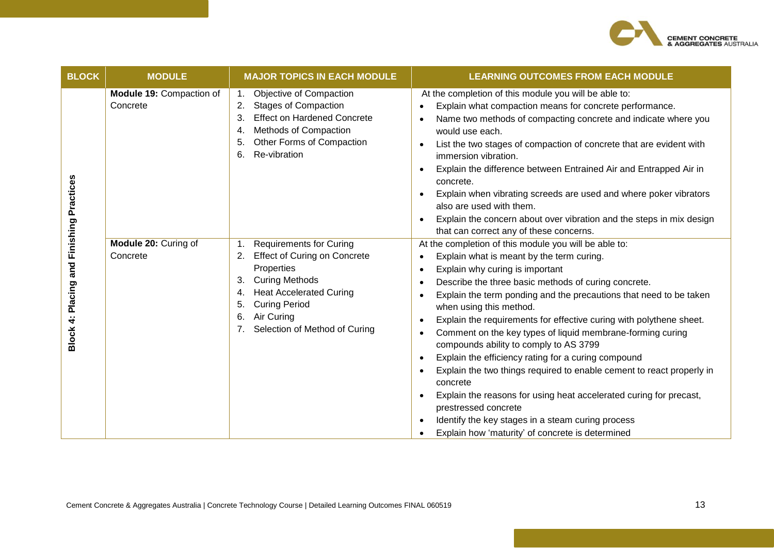

| <b>BLOCK</b>            | <b>MODULE</b>                        | <b>MAJOR TOPICS IN EACH MODULE</b>                                                                                                                                                                                                                              | <b>LEARNING OUTCOMES FROM EACH MODULE</b>                                                                                                                                                                                                                                                                                                                                                                                                                                                                                                                                                                                                                                                                                                                                                                                                                                                                                                                  |
|-------------------------|--------------------------------------|-----------------------------------------------------------------------------------------------------------------------------------------------------------------------------------------------------------------------------------------------------------------|------------------------------------------------------------------------------------------------------------------------------------------------------------------------------------------------------------------------------------------------------------------------------------------------------------------------------------------------------------------------------------------------------------------------------------------------------------------------------------------------------------------------------------------------------------------------------------------------------------------------------------------------------------------------------------------------------------------------------------------------------------------------------------------------------------------------------------------------------------------------------------------------------------------------------------------------------------|
| and Finishing Practices | Module 19: Compaction of<br>Concrete | Objective of Compaction<br>1.<br><b>Stages of Compaction</b><br>2.<br><b>Effect on Hardened Concrete</b><br>3.<br>Methods of Compaction<br>4.<br>Other Forms of Compaction<br>5.<br>Re-vibration<br>6.                                                          | At the completion of this module you will be able to:<br>Explain what compaction means for concrete performance.<br>$\bullet$<br>Name two methods of compacting concrete and indicate where you<br>$\bullet$<br>would use each.<br>List the two stages of compaction of concrete that are evident with<br>$\bullet$<br>immersion vibration.<br>Explain the difference between Entrained Air and Entrapped Air in<br>$\bullet$<br>concrete.<br>Explain when vibrating screeds are used and where poker vibrators<br>$\bullet$<br>also are used with them.<br>Explain the concern about over vibration and the steps in mix design<br>$\bullet$<br>that can correct any of these concerns.                                                                                                                                                                                                                                                                   |
| Block 4: Placing        | Module 20: Curing of<br>Concrete     | <b>Requirements for Curing</b><br>1.<br><b>Effect of Curing on Concrete</b><br>2.<br>Properties<br><b>Curing Methods</b><br>3.<br><b>Heat Accelerated Curing</b><br>4.<br><b>Curing Period</b><br>5.<br>Air Curing<br>6.<br>Selection of Method of Curing<br>7. | At the completion of this module you will be able to:<br>Explain what is meant by the term curing.<br>$\bullet$<br>Explain why curing is important<br>$\bullet$<br>Describe the three basic methods of curing concrete.<br>$\bullet$<br>Explain the term ponding and the precautions that need to be taken<br>$\bullet$<br>when using this method.<br>Explain the requirements for effective curing with polythene sheet.<br>٠<br>Comment on the key types of liquid membrane-forming curing<br>$\bullet$<br>compounds ability to comply to AS 3799<br>Explain the efficiency rating for a curing compound<br>$\bullet$<br>Explain the two things required to enable cement to react properly in<br>$\bullet$<br>concrete<br>Explain the reasons for using heat accelerated curing for precast,<br>$\bullet$<br>prestressed concrete<br>Identify the key stages in a steam curing process<br>$\bullet$<br>Explain how 'maturity' of concrete is determined |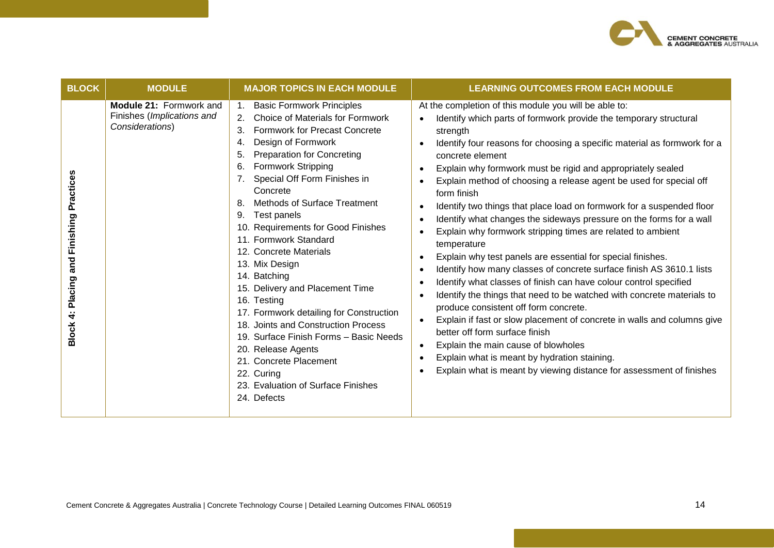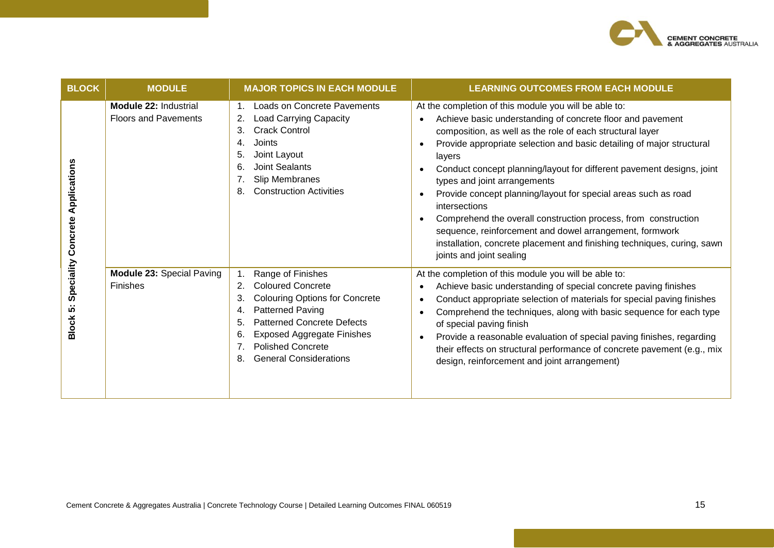

| <b>BLOCK</b>                                                  | <b>MODULE</b>                                               | <b>MAJOR TOPICS IN EACH MODULE</b>                                                                                                                                                                                                                                                    | <b>LEARNING OUTCOMES FROM EACH MODULE</b>                                                                                                                                                                                                                                                                                                                                                                                                                                                                                                                                                                                                                                                           |
|---------------------------------------------------------------|-------------------------------------------------------------|---------------------------------------------------------------------------------------------------------------------------------------------------------------------------------------------------------------------------------------------------------------------------------------|-----------------------------------------------------------------------------------------------------------------------------------------------------------------------------------------------------------------------------------------------------------------------------------------------------------------------------------------------------------------------------------------------------------------------------------------------------------------------------------------------------------------------------------------------------------------------------------------------------------------------------------------------------------------------------------------------------|
| Applications<br>Concrete<br>Speciality<br>ιó.<br><b>Block</b> | <b>Module 22: Industrial</b><br><b>Floors and Pavements</b> | <b>Loads on Concrete Pavements</b><br><b>Load Carrying Capacity</b><br>2.<br><b>Crack Control</b><br>3.<br>Joints<br>4.<br>Joint Layout<br>5.<br>Joint Sealants<br>6.<br>Slip Membranes<br><b>Construction Activities</b><br>8.                                                       | At the completion of this module you will be able to:<br>Achieve basic understanding of concrete floor and pavement<br>composition, as well as the role of each structural layer<br>Provide appropriate selection and basic detailing of major structural<br>layers<br>Conduct concept planning/layout for different pavement designs, joint<br>types and joint arrangements<br>Provide concept planning/layout for special areas such as road<br>intersections<br>Comprehend the overall construction process, from construction<br>sequence, reinforcement and dowel arrangement, formwork<br>installation, concrete placement and finishing techniques, curing, sawn<br>joints and joint sealing |
|                                                               | Module 23: Special Paving<br>Finishes                       | Range of Finishes<br><b>Coloured Concrete</b><br>2.<br><b>Colouring Options for Concrete</b><br>3.<br>Patterned Paving<br>4.<br><b>Patterned Concrete Defects</b><br>5.<br><b>Exposed Aggregate Finishes</b><br>6.<br><b>Polished Concrete</b><br><b>General Considerations</b><br>8. | At the completion of this module you will be able to:<br>Achieve basic understanding of special concrete paving finishes<br>Conduct appropriate selection of materials for special paving finishes<br>Comprehend the techniques, along with basic sequence for each type<br>of special paving finish<br>Provide a reasonable evaluation of special paving finishes, regarding<br>their effects on structural performance of concrete pavement (e.g., mix<br>design, reinforcement and joint arrangement)                                                                                                                                                                                            |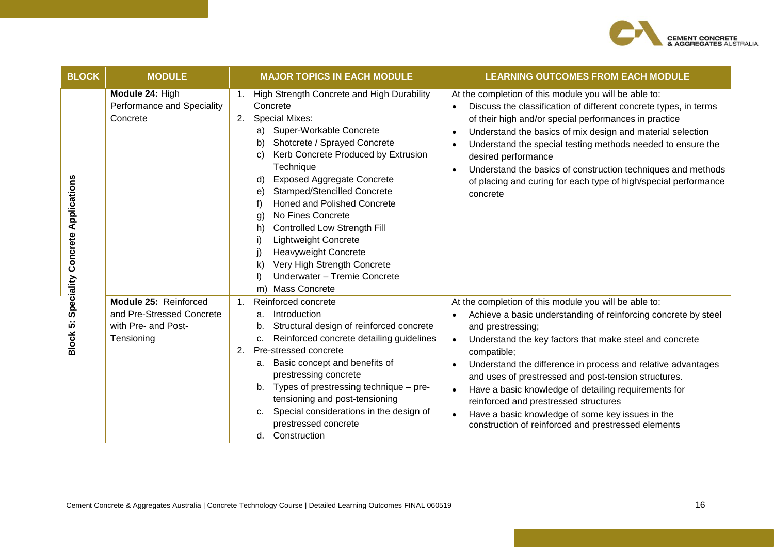

| <b>BLOCK</b>                      | <b>MODULE</b>                                                                           | <b>MAJOR TOPICS IN EACH MODULE</b>                                                                                                                                                                                                                                                                                                                                                                                                                                                                                                                                                            | <b>LEARNING OUTCOMES FROM EACH MODULE</b>                                                                                                                                                                                                                                                                                                                                                                                                                                                                                                                                                         |
|-----------------------------------|-----------------------------------------------------------------------------------------|-----------------------------------------------------------------------------------------------------------------------------------------------------------------------------------------------------------------------------------------------------------------------------------------------------------------------------------------------------------------------------------------------------------------------------------------------------------------------------------------------------------------------------------------------------------------------------------------------|---------------------------------------------------------------------------------------------------------------------------------------------------------------------------------------------------------------------------------------------------------------------------------------------------------------------------------------------------------------------------------------------------------------------------------------------------------------------------------------------------------------------------------------------------------------------------------------------------|
| Applications<br>Concrete          | Module 24: High<br>Performance and Speciality<br>Concrete                               | High Strength Concrete and High Durability<br>1.<br>Concrete<br><b>Special Mixes:</b><br>2.<br>Super-Workable Concrete<br>a)<br>Shotcrete / Sprayed Concrete<br>b)<br>Kerb Concrete Produced by Extrusion<br>C)<br>Technique<br><b>Exposed Aggregate Concrete</b><br>d)<br><b>Stamped/Stencilled Concrete</b><br>e)<br><b>Honed and Polished Concrete</b><br>f)<br>No Fines Concrete<br>g)<br>Controlled Low Strength Fill<br>h)<br><b>Lightweight Concrete</b><br>i)<br><b>Heavyweight Concrete</b><br>Very High Strength Concrete<br>k)<br>Underwater - Tremie Concrete<br>m) Mass Concrete | At the completion of this module you will be able to:<br>Discuss the classification of different concrete types, in terms<br>of their high and/or special performances in practice<br>Understand the basics of mix design and material selection<br>Understand the special testing methods needed to ensure the<br>desired performance<br>Understand the basics of construction techniques and methods<br>$\bullet$<br>of placing and curing for each type of high/special performance<br>concrete                                                                                                |
| Speciality<br>ιó.<br><b>Block</b> | Module 25: Reinforced<br>and Pre-Stressed Concrete<br>with Pre- and Post-<br>Tensioning | Reinforced concrete<br>$\mathbf{1}$ .<br>Introduction<br>a.<br>Structural design of reinforced concrete<br>Reinforced concrete detailing guidelines<br>C.<br>Pre-stressed concrete<br>2.<br>a. Basic concept and benefits of<br>prestressing concrete<br>Types of prestressing technique - pre-<br>b.<br>tensioning and post-tensioning<br>Special considerations in the design of<br>prestressed concrete<br>Construction<br>d.                                                                                                                                                              | At the completion of this module you will be able to:<br>Achieve a basic understanding of reinforcing concrete by steel<br>and prestressing;<br>Understand the key factors that make steel and concrete<br>$\bullet$<br>compatible;<br>Understand the difference in process and relative advantages<br>$\bullet$<br>and uses of prestressed and post-tension structures.<br>Have a basic knowledge of detailing requirements for<br>$\bullet$<br>reinforced and prestressed structures<br>Have a basic knowledge of some key issues in the<br>construction of reinforced and prestressed elements |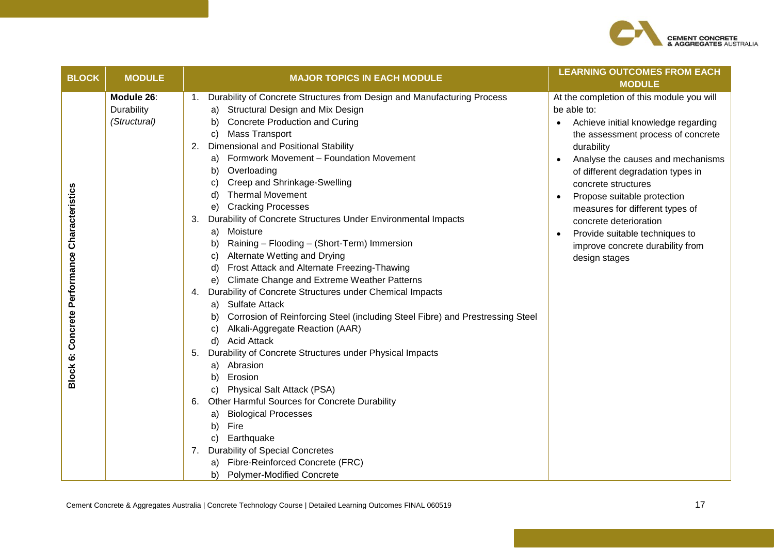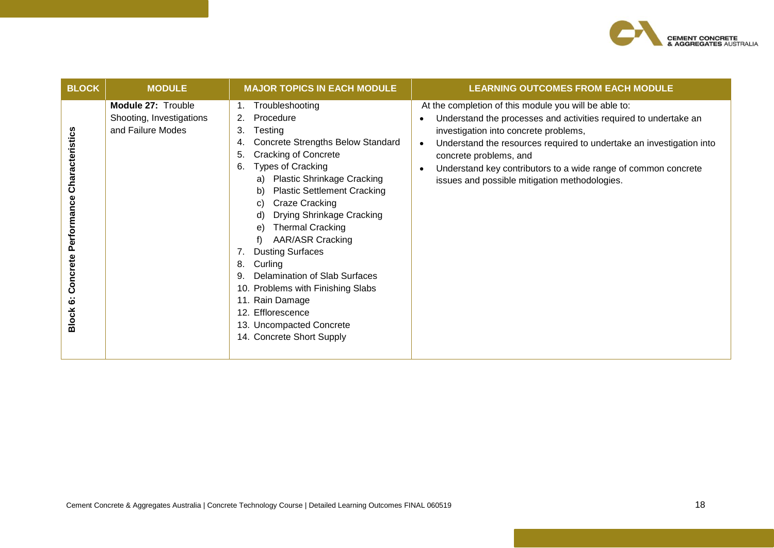

| <b>BLOCK</b>                                                    | <b>MODULE</b>                                                       | <b>MAJOR TOPICS IN EACH MODULE</b>                                                                                                                                                                                                                                                                                                                                                                                                                                                                                                                                                                       | <b>LEARNING OUTCOMES FROM EACH MODULE</b>                                                                                                                                                                                                                                                                                                                                                            |
|-----------------------------------------------------------------|---------------------------------------------------------------------|----------------------------------------------------------------------------------------------------------------------------------------------------------------------------------------------------------------------------------------------------------------------------------------------------------------------------------------------------------------------------------------------------------------------------------------------------------------------------------------------------------------------------------------------------------------------------------------------------------|------------------------------------------------------------------------------------------------------------------------------------------------------------------------------------------------------------------------------------------------------------------------------------------------------------------------------------------------------------------------------------------------------|
| Characteristics<br>Performance<br>Concrete<br>ق<br><b>Block</b> | Module 27: Trouble<br>Shooting, Investigations<br>and Failure Modes | Troubleshooting<br>Procedure<br>2.<br>Testing<br>3.<br>Concrete Strengths Below Standard<br>4.<br><b>Cracking of Concrete</b><br>5.<br>Types of Cracking<br>6.<br><b>Plastic Shrinkage Cracking</b><br>a)<br><b>Plastic Settlement Cracking</b><br>Craze Cracking<br>Drying Shrinkage Cracking<br>d)<br><b>Thermal Cracking</b><br>e)<br><b>AAR/ASR Cracking</b><br><b>Dusting Surfaces</b><br>$7_{\cdot}$<br>Curling<br>8.<br>Delamination of Slab Surfaces<br>9.<br>10. Problems with Finishing Slabs<br>11. Rain Damage<br>12. Efflorescence<br>13. Uncompacted Concrete<br>14. Concrete Short Supply | At the completion of this module you will be able to:<br>Understand the processes and activities required to undertake an<br>investigation into concrete problems,<br>Understand the resources required to undertake an investigation into<br>$\bullet$<br>concrete problems, and<br>Understand key contributors to a wide range of common concrete<br>issues and possible mitigation methodologies. |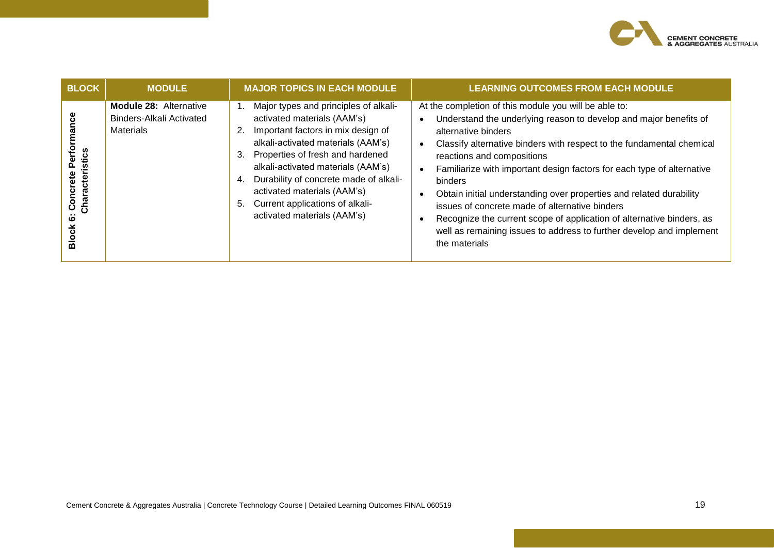

| <b>BLOCK</b>                                                  | <b>MODULE</b>                                                                 | <b>MAJOR TOPICS IN EACH MODULE</b>                                                                                                                                                                                                                                                                                                                                                            | <b>LEARNING OUTCOMES FROM EACH MODULE</b>                                                                                                                                                                                                                                                                                                                                                                                                                                                                                                                                                                                                                                       |
|---------------------------------------------------------------|-------------------------------------------------------------------------------|-----------------------------------------------------------------------------------------------------------------------------------------------------------------------------------------------------------------------------------------------------------------------------------------------------------------------------------------------------------------------------------------------|---------------------------------------------------------------------------------------------------------------------------------------------------------------------------------------------------------------------------------------------------------------------------------------------------------------------------------------------------------------------------------------------------------------------------------------------------------------------------------------------------------------------------------------------------------------------------------------------------------------------------------------------------------------------------------|
| nance<br>ristics<br>oncrete<br>Character<br>ဖ<br><b>Block</b> | <b>Module 28: Alternative</b><br>Binders-Alkali Activated<br><b>Materials</b> | Major types and principles of alkali-<br>activated materials (AAM's)<br>Important factors in mix design of<br>2.<br>alkali-activated materials (AAM's)<br>Properties of fresh and hardened<br>3.<br>alkali-activated materials (AAM's)<br>Durability of concrete made of alkali-<br>4.<br>activated materials (AAM's)<br>Current applications of alkali-<br>5.<br>activated materials (AAM's) | At the completion of this module you will be able to:<br>Understand the underlying reason to develop and major benefits of<br>alternative binders<br>Classify alternative binders with respect to the fundamental chemical<br>$\bullet$<br>reactions and compositions<br>Familiarize with important design factors for each type of alternative<br>$\bullet$<br>binders<br>Obtain initial understanding over properties and related durability<br>$\bullet$<br>issues of concrete made of alternative binders<br>Recognize the current scope of application of alternative binders, as<br>well as remaining issues to address to further develop and implement<br>the materials |